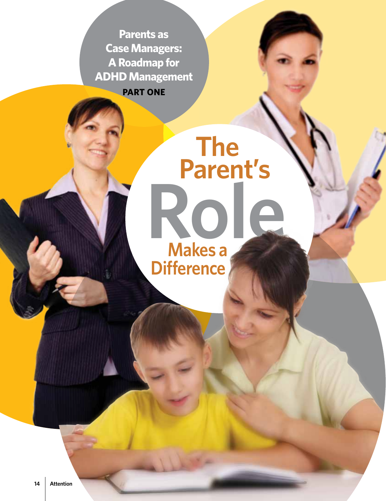**Parents as Case Managers: A Roadmap for ADHD Management PART ONE**

# **Role The Parent's Makes a Difference**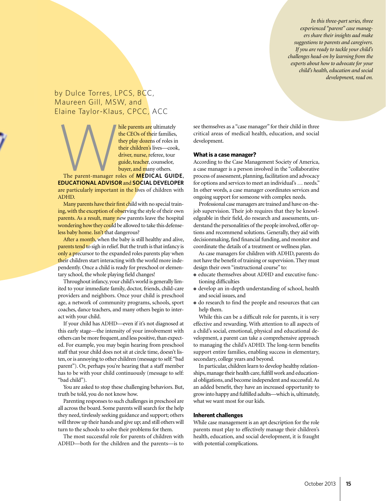*In this three-part series, three experienced "parent" case managers share their insights aad make suggestions to parents and caregivers. If you are ready to tackle your child's challenges head-on by learning from the experts about how to advocate for your child's health, education and social development, read on.*

### by Dulce Torres, LPCS, BCC, Maureen Gill, MSW, and Elaine Taylor-Klaus, CPCC, ACC

hile parents are ultimately<br>the CEOs of their families,<br>they play dozens of roles in<br>their children's lives—cook,<br>driver, nurse, referee, tour<br>guide, teacher, counselor,<br>buyer, and many others.<br>The parent-manager roles of the CEOs of their families, they play dozens of roles in their children's lives—cook, driver, nurse, referee, tour guide, teacher, counselor, buyer, and many others.

**EDUCATIONAL ADVISOR** and **SOCIAL DEVELOPER** are particularly important in the lives of children with ADHD.

Many parents have their first child with no special training, with the exception of observing the style of their own parents. As a result, many new parents leave the hospital wondering how they could be allowed to take this defenseless baby home. Isn't that dangerous?

After a month, when the baby is still healthy and alive, parents tend to sigh in relief. But the truth is that infancy is only a precursor to the expanded roles parents play when their children start interacting with the world more independently. Once a child is ready for preschool or elementary school, the whole playing field changes!

Throughout infancy, your child's world is generally limited to your immediate family, doctor, friends, child-care providers and neighbors. Once your child is preschool age, a network of community programs, schools, sport coaches, dance teachers, and many others begin to interact with your child.

If your child has ADHD—even if it's not diagnosed at this early stage—the intensity of your involvement with others can be more frequent, and less positive, than expected. For example, you may begin hearing from preschool staff that your child does not sit at circle time, doesn't listen, or is annoying to other children (message to self: "bad parent"). Or, perhaps you're hearing that a staff member has to be with your child continuously (message to self: "bad child").

You are asked to stop these challenging behaviors. But, truth be told, you do not know how.

Parenting responses to such challenges in preschool are all across the board. Some parents will search for the help they need, tirelessly seeking guidance and support; others will throw up their hands and give up; and still others will turn to the schools to solve their problems for them.

The most successful role for parents of children with ADHD—both for the children and the parents—is to see themselves as a "case manager" for their child in three critical areas of medical health, education, and social development.

#### **What is a case manager?**

According to the Case Management Society of America, a case manager is a person involved in the "collaborative process of assessment, planning, facilitation and advocacy for options and services to meet an individual's … needs." In other words, a case manager coordinates services and ongoing support for someone with complex needs.

Professional case managers are trained and have on-thejob supervision. Their job requires that they be knowledgeable in their field, do research and assessments, understand the personalities of the people involved, offer options and recommend solutions. Generally, they aid with decisionmaking, find financial funding, and monitor and coordinate the details of a treatment or wellness plan.

As case managers for children with ADHD, parents do not have the benefit of training or supervision. They must design their own "instructional course" to:

- educate themselves about ADHD and executive functioning difficulties
- develop an in-depth understanding of school, health and social issues, and
- do research to find the people and resources that can help them.

While this can be a difficult role for parents, it is very effective and rewarding. With attention to all aspects of a child's social, emotional, physical and educational development, a parent can take a comprehensive approach to managing the child's ADHD. The long-term benefits support entire families, enabling success in elementary, secondary, college years and beyond.

In particular, children learn to develop healthy relationships, manage their health care, fulfill work and educational obligations, and become independent and successful. As an added benefit, they have an increased opportunity to grow into happy and fulfilled adults—which is, ultimately, what we want most for our kids.

#### **Inherent challenges**

While case management is an apt description for the role parents must play to effectively manage their children's health, education, and social development, it is fraught with potential complications.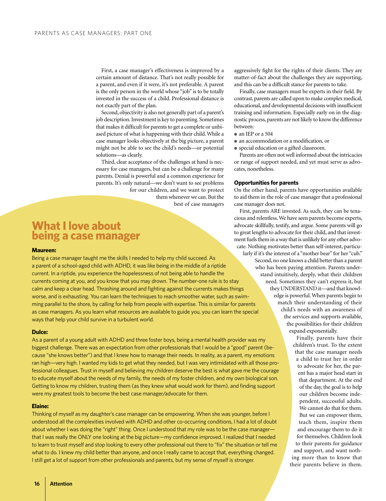First, a case manager's effectiveness is improved by a certain amount of distance. That's not really possible for a parent, and even if it were, it's not preferable. A parent is the only person in the world whose "job" is to be totally invested in the success of a child. Professional distance is not exactly part of the plan.

Second, objectivity is also not generally part of a parent's job description. Investment is key to parenting. Sometimes that makes it difficult for parents to get a complete or unbiased picture of what is happening with their child. While a case manager looks objectively at the big picture, a parent might not be able to see the child's needs—or potential solutions—as clearly.

Third, clear acceptance of the challenges at hand is necessary for case managers, but can be a challenge for many parents. Denial is powerful and a common experience for parents. It's only natural—we don't want to see problems for our children, and we want to protect them whenever we can. But the best of case managers

# **What I love about being a case manager**

#### **Maureen:**

Being a case manager taught me the skills I needed to help my child succeed. As a parent of a school-aged child with ADHD, it was like being in the middle of a riptide current. In a riptide, you experience the hopelessness of not being able to handle the currents coming at you, and you know that you may drown. The number-one rule is to stay calm and keep a clear head. Thrashing around and fighting against the currents makes things worse, and is exhausting. You can learn the techniques to reach smoother water, such as swimming parallel to the shore, by calling for help from people with expertise. This is similar for parents as case managers. As you learn what resources are available to guide you, you can learn the special ways that help your child survive in a turbulent world.

#### **Dulce:**

As a parent of a young adult with ADHD and three foster boys, being a mental health provider was my biggest challenge. There was an expectation from other professionals that I would be a "good" parent (because "she knows better") and that I knew how to manage their needs. In reality, as a parent, my emotions ran high—very high. I wanted my kids to get what they needed, but I was very intimidated with all those professional colleagues. Trust in myself and believing my children deserve the best is what gave me the courage to educate myself about the needs of my family, the needs of my foster children, and my own biological son. Getting to know my children, trusting them (as they knew what would work for them), and finding support were my greatest tools to become the best case manager/advocate for them.

#### **Elaine:**

Thinking of myself as my daughter's case manager can be empowering. When she was younger, before I understood all the complexities involved with ADHD and other co-occurring conditions, I had a lot of doubt about whether I was doing the "right" thing. Once I understood that my role was to be the case managerthat I was really the ONLY one looking at the big picture—my confidence improved. I realized that I needed to learn to trust myself and stop looking to every other professional out there to "fix" the situation or tell me what to do. I knew my child better than anyone, and once I really came to accept that, everything changed. I still get a lot of support from other professionals and parents, but my sense of myself is stronger.

aggressively fight for the rights of their clients. They are matter-of-fact about the challenges they are supporting, and this can be a difficult stance for parents to take.

Finally, case managers must be experts in their field. By contrast, parents are called upon to make complex medical, educational, and developmental decisions with insufficient training and information. Especially early on in the diagnostic process, parents are not likely to know the difference between:

- an IEP or a 504
- an accommodation or a modification, or
- special education or a gifted classroom.

Parents are often not well informed about the intricacies or range of support needed, and yet must serve as advocates, nonetheless.

#### **Opportunities for parents**

On the other hand, parents have opportunities available to aid them in the role of case manager that a professional case manager does not.

First, parents ARE invested. As such, they can be tenacious and relentless. We have seen parents become experts, advocate skillfully, testify, and argue. Some parents will go to great lengths to advocate for their child, and that investment fuels them in a way that is unlikely for any other advocate. Nothing motivates better than self-interest, particularly if it's the interest of a "mother bear" for her "cub." Second, no one knows a child better than a parent who has been paying attention. Parents understand intuitively, deeply, what their children need. Sometimes they can't express it, but they UNDERSTAND it—and that knowledge is powerful. When parents begin to match their understanding of their child's needs with an awareness of the services and supports available, the possibilities for their children expand exponentially.

> Finally, parents have their children's trust. To the extent that the case manager needs a child to trust her in order to advocate for her, the parent has a major head start in that department. At the end of the day, the goal is to help our children become independent, successful adults. We cannot do that for them. But we can empower them, teach them, inspire them and encourage them to do it for themselves. Children look to their parents for guidance and support, and want nothing more than to know that their parents believe in them.